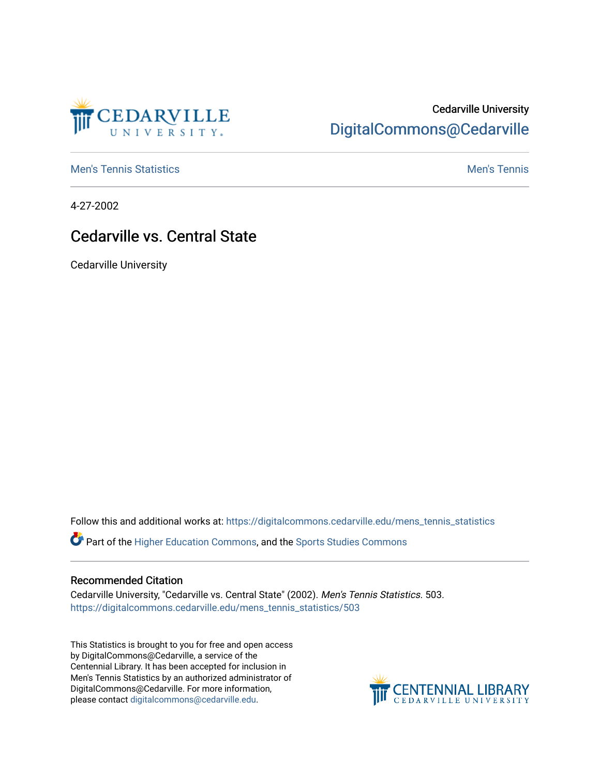

## Cedarville University [DigitalCommons@Cedarville](https://digitalcommons.cedarville.edu/)

**[Men's Tennis Statistics](https://digitalcommons.cedarville.edu/mens_tennis_statistics) Mental According to the Control of Control According Mental Men's Tennis** 

4-27-2002

## Cedarville vs. Central State

Cedarville University

Follow this and additional works at: [https://digitalcommons.cedarville.edu/mens\\_tennis\\_statistics](https://digitalcommons.cedarville.edu/mens_tennis_statistics?utm_source=digitalcommons.cedarville.edu%2Fmens_tennis_statistics%2F503&utm_medium=PDF&utm_campaign=PDFCoverPages)

Part of the [Higher Education Commons,](http://network.bepress.com/hgg/discipline/1245?utm_source=digitalcommons.cedarville.edu%2Fmens_tennis_statistics%2F503&utm_medium=PDF&utm_campaign=PDFCoverPages) and the [Sports Studies Commons](http://network.bepress.com/hgg/discipline/1198?utm_source=digitalcommons.cedarville.edu%2Fmens_tennis_statistics%2F503&utm_medium=PDF&utm_campaign=PDFCoverPages) 

## Recommended Citation

Cedarville University, "Cedarville vs. Central State" (2002). Men's Tennis Statistics. 503. [https://digitalcommons.cedarville.edu/mens\\_tennis\\_statistics/503](https://digitalcommons.cedarville.edu/mens_tennis_statistics/503?utm_source=digitalcommons.cedarville.edu%2Fmens_tennis_statistics%2F503&utm_medium=PDF&utm_campaign=PDFCoverPages) 

This Statistics is brought to you for free and open access by DigitalCommons@Cedarville, a service of the Centennial Library. It has been accepted for inclusion in Men's Tennis Statistics by an authorized administrator of DigitalCommons@Cedarville. For more information, please contact [digitalcommons@cedarville.edu](mailto:digitalcommons@cedarville.edu).